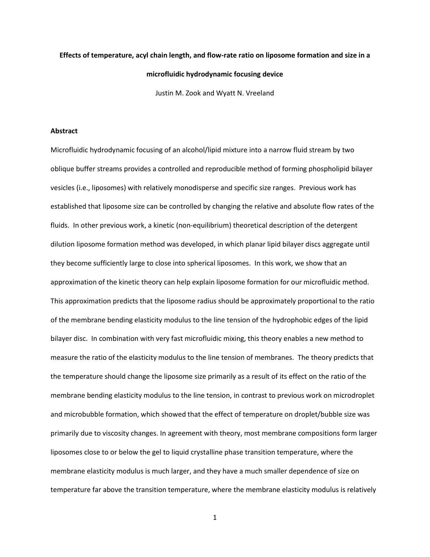# **Effects of temperature, acyl chain length, and flow-rate ratio on liposome formation and size in a**

## **microfluidic hydrodynamic focusing device**

Justin M. Zook and Wyatt N. Vreeland

#### **Abstract**

Microfluidic hydrodynamic focusing of an alcohol/lipid mixture into a narrow fluid stream by two oblique buffer streams provides a controlled and reproducible method of forming phospholipid bilayer vesicles (i.e., liposomes) with relatively monodisperse and specific size ranges. Previous work has established that liposome size can be controlled by changing the relative and absolute flow rates of the fluids. In other previous work, a kinetic (non-equilibrium) theoretical description of the detergent dilution liposome formation method was developed, in which planar lipid bilayer discs aggregate until they become sufficiently large to close into spherical liposomes. In this work, we show that an approximation of the kinetic theory can help explain liposome formation for our microfluidic method. This approximation predicts that the liposome radius should be approximately proportional to the ratio of the membrane bending elasticity modulus to the line tension of the hydrophobic edges of the lipid bilayer disc. In combination with very fast microfluidic mixing, this theory enables a new method to measure the ratio of the elasticity modulus to the line tension of membranes. The theory predicts that the temperature should change the liposome size primarily as a result of its effect on the ratio of the membrane bending elasticity modulus to the line tension, in contrast to previous work on microdroplet and microbubble formation, which showed that the effect of temperature on droplet/bubble size was primarily due to viscosity changes. In agreement with theory, most membrane compositions form larger liposomes close to or below the gel to liquid crystalline phase transition temperature, where the membrane elasticity modulus is much larger, and they have a much smaller dependence of size on temperature far above the transition temperature, where the membrane elasticity modulus is relatively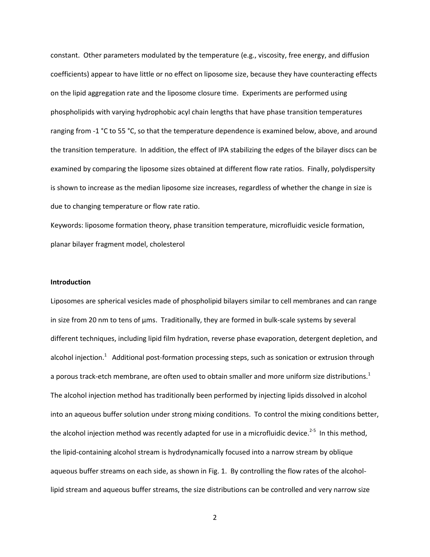constant. Other parameters modulated by the temperature (e.g., viscosity, free energy, and diffusion coefficients) appear to have little or no effect on liposome size, because they have counteracting effects on the lipid aggregation rate and the liposome closure time. Experiments are performed using phospholipids with varying hydrophobic acyl chain lengths that have phase transition temperatures ranging from -1 °C to 55 °C, so that the temperature dependence is examined below, above, and around the transition temperature. In addition, the effect of IPA stabilizing the edges of the bilayer discs can be examined by comparing the liposome sizes obtained at different flow rate ratios. Finally, polydispersity is shown to increase as the median liposome size increases, regardless of whether the change in size is due to changing temperature or flow rate ratio.

Keywords: liposome formation theory, phase transition temperature, microfluidic vesicle formation, planar bilayer fragment model, cholesterol

### **Introduction**

Liposomes are spherical vesicles made of phospholipid bilayers similar to cell membranes and can range in size from 20 nm to tens of µms. Traditionally, they are formed in bulk-scale systems by several different techniques, including lipid film hydration, reverse phase evaporation, detergent depletion, and alcohol injection.<sup>1</sup> Additional post-formation processing steps, such as sonication or extrusion through a porous track-etch membrane, are often used to obtain smaller and more uniform size distributions. $1$ The alcohol injection method has traditionally been performed by injecting lipids dissolved in alcohol into an aqueous buffer solution under strong mixing conditions. To control the mixing conditions better, the alcohol injection method was recently adapted for use in a microfluidic device.<sup>2-5</sup> In this method, the lipid-containing alcohol stream is hydrodynamically focused into a narrow stream by oblique aqueous buffer streams on each side, as shown in Fig. 1. By controlling the flow rates of the alcohollipid stream and aqueous buffer streams, the size distributions can be controlled and very narrow size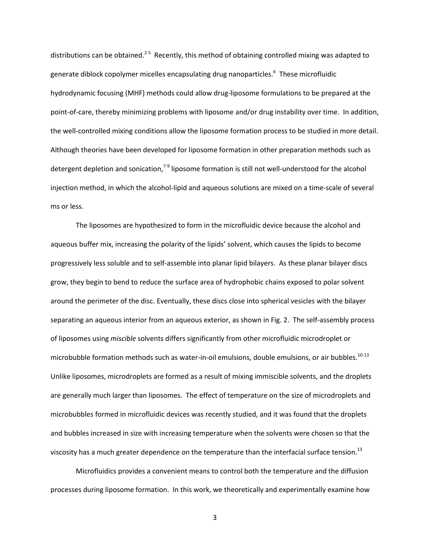distributions can be obtained.<sup>2-5</sup> Recently, this method of obtaining controlled mixing was adapted to generate diblock copolymer micelles encapsulating drug nanoparticles. 6 These microfluidic hydrodynamic focusing (MHF) methods could allow drug-liposome formulations to be prepared at the point-of-care, thereby minimizing problems with liposome and/or drug instability over time. In addition, the well-controlled mixing conditions allow the liposome formation process to be studied in more detail. Although theories have been developed for liposome formation in other preparation methods such as detergent depletion and sonication,<sup>7-9</sup> liposome formation is still not well-understood for the alcohol injection method, in which the alcohol-lipid and aqueous solutions are mixed on a time-scale of several ms or less.

The liposomes are hypothesized to form in the microfluidic device because the alcohol and aqueous buffer mix, increasing the polarity of the lipids' solvent, which causes the lipids to become progressively less soluble and to self-assemble into planar lipid bilayers. As these planar bilayer discs grow, they begin to bend to reduce the surface area of hydrophobic chains exposed to polar solvent around the perimeter of the disc. Eventually, these discs close into spherical vesicles with the bilayer separating an aqueous interior from an aqueous exterior, as shown in Fig. 2. The self-assembly process of liposomes using *miscible* solvents differs significantly from other microfluidic microdroplet or microbubble formation methods such as water-in-oil emulsions, double emulsions, or air bubbles.<sup>10-13</sup> Unlike liposomes, microdroplets are formed as a result of mixing immiscible solvents, and the droplets are generally much larger than liposomes. The effect of temperature on the size of microdroplets and microbubbles formed in microfluidic devices was recently studied, and it was found that the droplets and bubbles increased in size with increasing temperature when the solvents were chosen so that the viscosity has a much greater dependence on the temperature than the interfacial surface tension.<sup>13</sup>

Microfluidics provides a convenient means to control both the temperature and the diffusion processes during liposome formation. In this work, we theoretically and experimentally examine how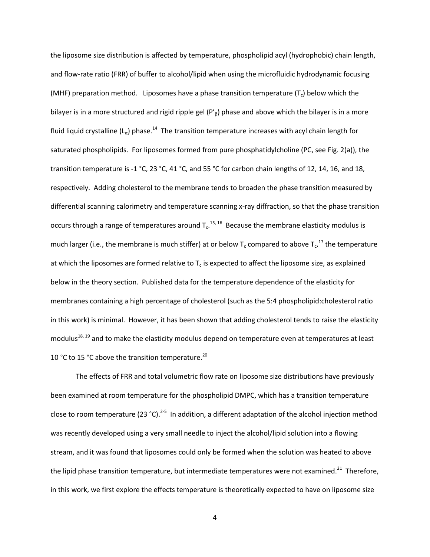the liposome size distribution is affected by temperature, phospholipid acyl (hydrophobic) chain length, and flow-rate ratio (FRR) of buffer to alcohol/lipid when using the microfluidic hydrodynamic focusing (MHF) preparation method. Liposomes have a phase transition temperature  $(T_c)$  below which the bilayer is in a more structured and rigid ripple gel  $(P'_{\beta})$  phase and above which the bilayer is in a more fluid liquid crystalline (L<sub>α</sub>) phase.<sup>14</sup> The transition temperature increases with acyl chain length for saturated phospholipids. For liposomes formed from pure phosphatidylcholine (PC, see Fig. 2(a)), the transition temperature is -1 °C, 23 °C, 41 °C, and 55 °C for carbon chain lengths of 12, 14, 16, and 18, respectively. Adding cholesterol to the membrane tends to broaden the phase transition measured by differential scanning calorimetry and temperature scanning x-ray diffraction, so that the phase transition occurs through a range of temperatures around  $T_c$ .<sup>15, 16</sup> Because the membrane elasticity modulus is much larger (i.e., the membrane is much stiffer) at or below T<sub>c</sub> compared to above T<sub>c</sub>,<sup>17</sup> the temperature at which the liposomes are formed relative to  $\mathsf{T}_{\mathrm{c}}$  is expected to affect the liposome size, as explained below in the theory section. Published data for the temperature dependence of the elasticity for membranes containing a high percentage of cholesterol (such as the 5:4 phospholipid:cholesterol ratio in this work) is minimal. However, it has been shown that adding cholesterol tends to raise the elasticity modulus<sup>18, 19</sup> and to make the elasticity modulus depend on temperature even at temperatures at least 10 °C to 15 °C above the transition temperature.<sup>20</sup>

The effects of FRR and total volumetric flow rate on liposome size distributions have previously been examined at room temperature for the phospholipid DMPC, which has a transition temperature close to room temperature (23 °C).<sup>2-5</sup> In addition, a different adaptation of the alcohol injection method was recently developed using a very small needle to inject the alcohol/lipid solution into a flowing stream, and it was found that liposomes could only be formed when the solution was heated to above the lipid phase transition temperature, but intermediate temperatures were not examined.<sup>21</sup> Therefore, in this work, we first explore the effects temperature is theoretically expected to have on liposome size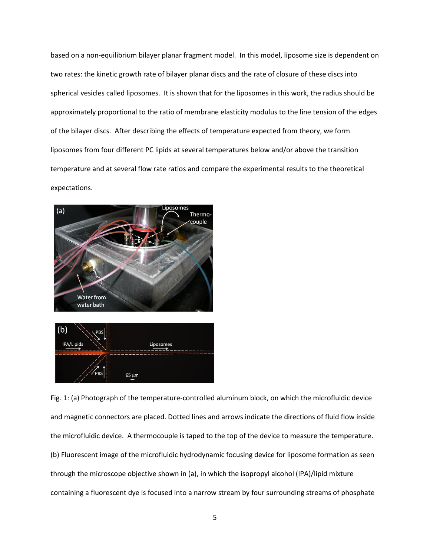based on a non-equilibrium bilayer planar fragment model. In this model, liposome size is dependent on two rates: the kinetic growth rate of bilayer planar discs and the rate of closure of these discs into spherical vesicles called liposomes. It is shown that for the liposomes in this work, the radius should be approximately proportional to the ratio of membrane elasticity modulus to the line tension of the edges of the bilayer discs. After describing the effects of temperature expected from theory, we form liposomes from four different PC lipids at several temperatures below and/or above the transition temperature and at several flow rate ratios and compare the experimental results to the theoretical expectations.



Fig. 1: (a) Photograph of the temperature-controlled aluminum block, on which the microfluidic device and magnetic connectors are placed. Dotted lines and arrows indicate the directions of fluid flow inside the microfluidic device. A thermocouple is taped to the top of the device to measure the temperature. (b) Fluorescent image of the microfluidic hydrodynamic focusing device for liposome formation as seen through the microscope objective shown in (a), in which the isopropyl alcohol (IPA)/lipid mixture containing a fluorescent dye is focused into a narrow stream by four surrounding streams of phosphate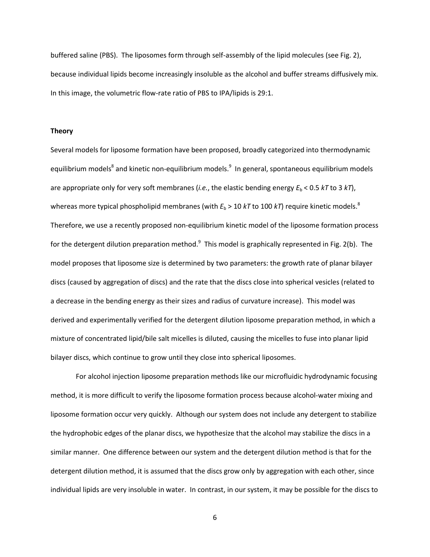buffered saline (PBS). The liposomes form through self-assembly of the lipid molecules (see Fig. 2), because individual lipids become increasingly insoluble as the alcohol and buffer streams diffusively mix. In this image, the volumetric flow-rate ratio of PBS to IPA/lipids is 29:1.

#### **Theory**

Several models for liposome formation have been proposed, broadly categorized into thermodynamic equilibrium models<sup>8</sup> and kinetic non-equilibrium models.<sup>9</sup> In general, spontaneous equilibrium models are appropriate only for very soft membranes (*i.e.*, the elastic bending energy *E*<sup>b</sup> < 0.5 *kT* to 3 *kT*), whereas more typical phospholipid membranes (with  $E_b > 10 kT$  to 100 kT) require kinetic models.<sup>8</sup> Therefore, we use a recently proposed non-equilibrium kinetic model of the liposome formation process for the detergent dilution preparation method. $^9$  This model is graphically represented in Fig. 2(b). The model proposes that liposome size is determined by two parameters: the growth rate of planar bilayer discs (caused by aggregation of discs) and the rate that the discs close into spherical vesicles (related to a decrease in the bending energy as their sizes and radius of curvature increase). This model was derived and experimentally verified for the detergent dilution liposome preparation method, in which a mixture of concentrated lipid/bile salt micelles is diluted, causing the micelles to fuse into planar lipid bilayer discs, which continue to grow until they close into spherical liposomes.

For alcohol injection liposome preparation methods like our microfluidic hydrodynamic focusing method, it is more difficult to verify the liposome formation process because alcohol-water mixing and liposome formation occur very quickly. Although our system does not include any detergent to stabilize the hydrophobic edges of the planar discs, we hypothesize that the alcohol may stabilize the discs in a similar manner. One difference between our system and the detergent dilution method is that for the detergent dilution method, it is assumed that the discs grow only by aggregation with each other, since individual lipids are very insoluble in water. In contrast, in our system, it may be possible for the discs to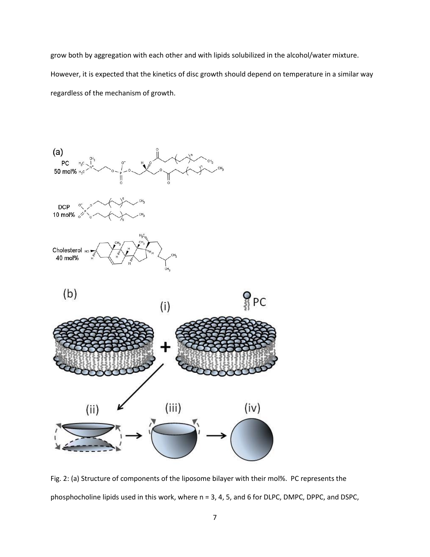grow both by aggregation with each other and with lipids solubilized in the alcohol/water mixture. However, it is expected that the kinetics of disc growth should depend on temperature in a similar way regardless of the mechanism of growth.



Fig. 2: (a) Structure of components of the liposome bilayer with their mol%. PC represents the phosphocholine lipids used in this work, where n = 3, 4, 5, and 6 for DLPC, DMPC, DPPC, and DSPC,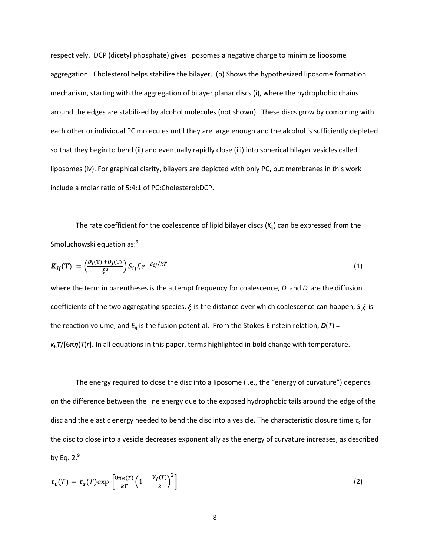respectively. DCP (dicetyl phosphate) gives liposomes a negative charge to minimize liposome aggregation. Cholesterol helps stabilize the bilayer. (b) Shows the hypothesized liposome formation mechanism, starting with the aggregation of bilayer planar discs (i), where the hydrophobic chains around the edges are stabilized by alcohol molecules (not shown). These discs grow by combining with each other or individual PC molecules until they are large enough and the alcohol is sufficiently depleted so that they begin to bend (ii) and eventually rapidly close (iii) into spherical bilayer vesicles called liposomes (iv). For graphical clarity, bilayers are depicted with only PC, but membranes in this work include a molar ratio of 5:4:1 of PC:Cholesterol:DCP.

The rate coefficient for the coalescence of lipid bilayer discs (*K*ij) can be expressed from the Smoluchowski equation as:<sup>9</sup>

$$
\boldsymbol{K}_{ij}(\mathbf{T}) = \left(\frac{\boldsymbol{D}_i(\mathbf{T}) + \boldsymbol{D}_j(\mathbf{T})}{\xi^2}\right) S_{ij} \xi e^{-E_{ij}/kT}
$$
\n(1)

where the term in parentheses is the attempt frequency for coalescence,  $D_i$  and  $D_j$  are the diffusion coefficients of the two aggregating species,  $\xi$  is the distance over which coalescence can happen,  $S_{ij}\xi$  is the reaction volume, and  $E_{ii}$  is the fusion potential. From the Stokes-Einstein relation,  $D(T)$  =  $k_B$ *T*/[6 $\pi$ *n*(*T*)*r*]. In all equations in this paper, terms highlighted in bold change with temperature.

The energy required to close the disc into a liposome (i.e., the "energy of curvature") depends on the difference between the line energy due to the exposed hydrophobic tails around the edge of the disc and the elastic energy needed to bend the disc into a vesicle. The characteristic closure time *τ<sub>c</sub>* for the disc to close into a vesicle decreases exponentially as the energy of curvature increases, as described by Eq. 2. $^9$ 

$$
\tau_c(T) = \tau_z(T) \exp\left[\frac{8\pi \tilde{\kappa}(T)}{kT} \left(1 - \frac{V_f(T)}{2}\right)^2\right]
$$
 (2)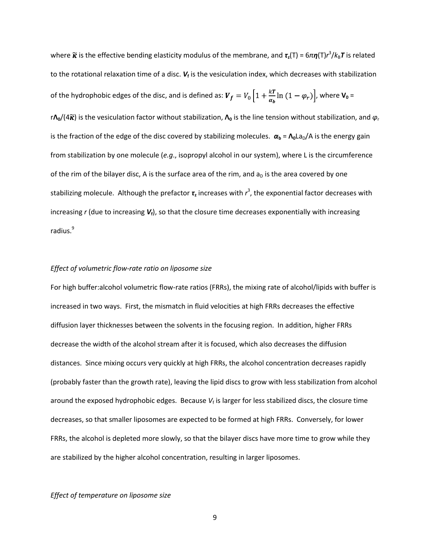where  $\widetilde{\kappa}$  is the effective bending elasticity modulus of the membrane, and  $\tau_z(T)$  = 6π $\eta(T)r^3/k_B T$  is related to the rotational relaxation time of a disc.  $V_f$  is the vesiculation index, which decreases with stabilization of the hydrophobic edges of the disc, and is defined as:  $V_f = V_0 \left[1 + \frac{kT}{a_b} \ln(1 - \varphi_r)\right]$ , where  $V_0 =$ r**Λ0**/(4 ) is the vesiculation factor without stabilization, **Λ<sup>0</sup>** is the line tension without stabilization, and *φ*<sup>r</sup> is the fraction of the edge of the disc covered by stabilizing molecules.  $\alpha_b = \Lambda_0 L a_D/A$  is the energy gain from stabilization by one molecule (*e.g*., isopropyl alcohol in our system), where L is the circumference of the rim of the bilayer disc, A is the surface area of the rim, and  $a<sub>D</sub>$  is the area covered by one stabilizing molecule. Although the prefactor **τ**<sub>z</sub> increases with *r*<sup>3</sup>, the exponential factor decreases with increasing *r* (due to increasing *V***f**), so that the closure time decreases exponentially with increasing radius.<sup>9</sup>

## *Effect of volumetric flow-rate ratio on liposome size*

For high buffer:alcohol volumetric flow-rate ratios (FRRs), the mixing rate of alcohol/lipids with buffer is increased in two ways. First, the mismatch in fluid velocities at high FRRs decreases the effective diffusion layer thicknesses between the solvents in the focusing region. In addition, higher FRRs decrease the width of the alcohol stream after it is focused, which also decreases the diffusion distances. Since mixing occurs very quickly at high FRRs, the alcohol concentration decreases rapidly (probably faster than the growth rate), leaving the lipid discs to grow with less stabilization from alcohol around the exposed hydrophobic edges. Because V<sub>f</sub> is larger for less stabilized discs, the closure time decreases, so that smaller liposomes are expected to be formed at high FRRs. Conversely, for lower FRRs, the alcohol is depleted more slowly, so that the bilayer discs have more time to grow while they are stabilized by the higher alcohol concentration, resulting in larger liposomes.

## *Effect of temperature on liposome size*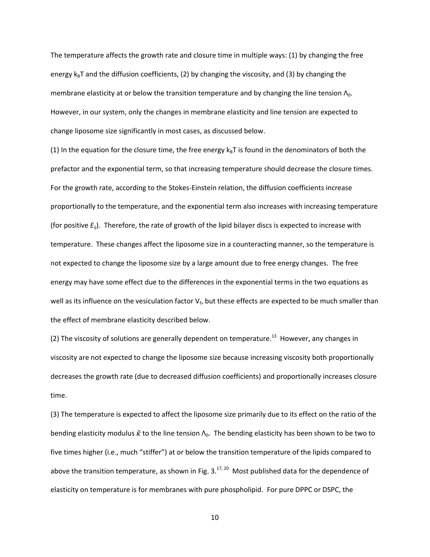The temperature affects the growth rate and closure time in multiple ways: (1) by changing the free energy  $k_B T$  and the diffusion coefficients, (2) by changing the viscosity, and (3) by changing the membrane elasticity at or below the transition temperature and by changing the line tension  $\Lambda_0$ . However, in our system, only the changes in membrane elasticity and line tension are expected to change liposome size significantly in most cases, as discussed below.

(1) In the equation for the closure time, the free energy  $k_B T$  is found in the denominators of both the prefactor and the exponential term, so that increasing temperature should decrease the closure times. For the growth rate, according to the Stokes-Einstein relation, the diffusion coefficients increase proportionally to the temperature, and the exponential term also increases with increasing temperature (for positive *E*ij). Therefore, the rate of growth of the lipid bilayer discs is expected to increase with temperature. These changes affect the liposome size in a counteracting manner, so the temperature is not expected to change the liposome size by a large amount due to free energy changes. The free energy may have some effect due to the differences in the exponential terms in the two equations as well as its influence on the vesiculation factor  $V_f$ , but these effects are expected to be much smaller than the effect of membrane elasticity described below.

(2) The viscosity of solutions are generally dependent on temperature.<sup>13</sup> However, any changes in viscosity are not expected to change the liposome size because increasing viscosity both proportionally decreases the growth rate (due to decreased diffusion coefficients) and proportionally increases closure time.

(3) The temperature is expected to affect the liposome size primarily due to its effect on the ratio of the bending elasticity modulus  $\tilde{\kappa}$  to the line tension  $\Lambda_0$ . The bending elasticity has been shown to be two to five times higher (i.e., much "stiffer") at or below the transition temperature of the lipids compared to above the transition temperature, as shown in Fig. 3. $^{17,20}$  Most published data for the dependence of elasticity on temperature is for membranes with pure phospholipid. For pure DPPC or DSPC, the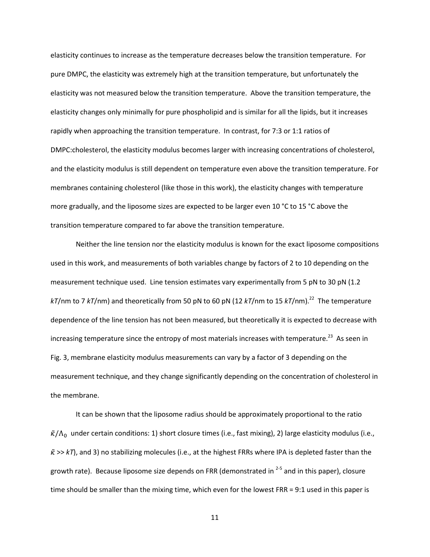elasticity continues to increase as the temperature decreases below the transition temperature. For pure DMPC, the elasticity was extremely high at the transition temperature, but unfortunately the elasticity was not measured below the transition temperature. Above the transition temperature, the elasticity changes only minimally for pure phospholipid and is similar for all the lipids, but it increases rapidly when approaching the transition temperature. In contrast, for 7:3 or 1:1 ratios of DMPC:cholesterol, the elasticity modulus becomes larger with increasing concentrations of cholesterol, and the elasticity modulus is still dependent on temperature even above the transition temperature. For membranes containing cholesterol (like those in this work), the elasticity changes with temperature more gradually, and the liposome sizes are expected to be larger even 10 °C to 15 °C above the transition temperature compared to far above the transition temperature.

Neither the line tension nor the elasticity modulus is known for the exact liposome compositions used in this work, and measurements of both variables change by factors of 2 to 10 depending on the measurement technique used. Line tension estimates vary experimentally from 5 pN to 30 pN (1.2 kT/nm to 7 kT/nm) and theoretically from 50 pN to 60 pN (12 kT/nm to 15 kT/nm).<sup>22</sup> The temperature dependence of the line tension has not been measured, but theoretically it is expected to decrease with increasing temperature since the entropy of most materials increases with temperature.<sup>23</sup> As seen in Fig. 3, membrane elasticity modulus measurements can vary by a factor of 3 depending on the measurement technique, and they change significantly depending on the concentration of cholesterol in the membrane.

It can be shown that the liposome radius should be approximately proportional to the ratio  $\tilde{\kappa}/\Lambda_0$  under certain conditions: 1) short closure times (i.e., fast mixing), 2) large elasticity modulus (i.e.,  $\tilde{\kappa}$  >>  $kT$ ), and 3) no stabilizing molecules (i.e., at the highest FRRs where IPA is depleted faster than the growth rate). Because liposome size depends on FRR (demonstrated in <sup>2-5</sup> and in this paper), closure time should be smaller than the mixing time, which even for the lowest FRR = 9:1 used in this paper is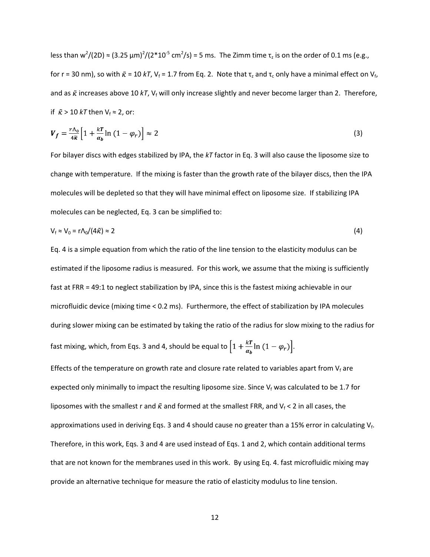less than w<sup>2</sup>/(2D)  $\approx$  (3.25 μm)<sup>2</sup>/(2\*10<sup>-5</sup> cm<sup>2</sup>/s) = 5 ms. The Zimm time τ<sub>z</sub> is on the order of 0.1 ms (e.g., for r = 30 nm), so with  $\tilde{\kappa}$  = 10 kT, V<sub>f</sub> = 1.7 from Eq. 2. Note that  $\tau_z$  and  $\tau_c$  only have a minimal effect on V<sub>f</sub>, and as  $\tilde{\kappa}$  increases above 10  $kT$ , V<sub>f</sub> will only increase slightly and never become larger than 2. Therefore, if  $\tilde{\kappa} > 10$  kT then  $V_f \approx 2$ , or:

$$
V_f = \frac{r\Lambda_0}{4\tilde{\kappa}} \left[ 1 + \frac{kT}{\alpha_b} \ln \left( 1 - \varphi_r \right) \right] \approx 2 \tag{3}
$$

For bilayer discs with edges stabilized by IPA, the *kT* factor in Eq. 3 will also cause the liposome size to change with temperature. If the mixing is faster than the growth rate of the bilayer discs, then the IPA molecules will be depleted so that they will have minimal effect on liposome size. If stabilizing IPA molecules can be neglected, Eq. 3 can be simplified to:

$$
V_f \approx V_0 = r \Lambda_0 / (4 \tilde{\kappa}) \approx 2 \tag{4}
$$

Eq. 4 is a simple equation from which the ratio of the line tension to the elasticity modulus can be estimated if the liposome radius is measured. For this work, we assume that the mixing is sufficiently fast at FRR = 49:1 to neglect stabilization by IPA, since this is the fastest mixing achievable in our microfluidic device (mixing time < 0.2 ms). Furthermore, the effect of stabilization by IPA molecules during slower mixing can be estimated by taking the ratio of the radius for slow mixing to the radius for fast mixing, which, from Eqs. 3 and 4, should be equal to  $\left[1+\frac{kT}{\alpha_h}\ln\left(1-\varphi_r\right)\right]$ .

Effects of the temperature on growth rate and closure rate related to variables apart from  $V_f$  are expected only minimally to impact the resulting liposome size. Since  $V_f$  was calculated to be 1.7 for liposomes with the smallest r and  $\tilde{\kappa}$  and formed at the smallest FRR, and  $V_f < 2$  in all cases, the approximations used in deriving Eqs. 3 and 4 should cause no greater than a 15% error in calculating V<sub>f</sub>. Therefore, in this work, Eqs. 3 and 4 are used instead of Eqs. 1 and 2, which contain additional terms that are not known for the membranes used in this work. By using Eq. 4. fast microfluidic mixing may provide an alternative technique for measure the ratio of elasticity modulus to line tension.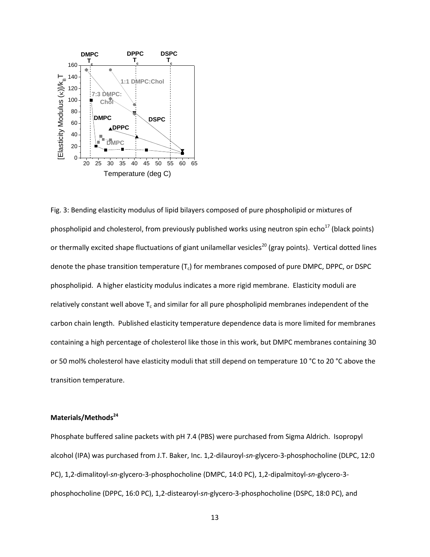

Fig. 3: Bending elasticity modulus of lipid bilayers composed of pure phospholipid or mixtures of phospholipid and cholesterol, from previously published works using neutron spin echo<sup>17</sup> (black points) or thermally excited shape fluctuations of giant unilamellar vesicles<sup>20</sup> (gray points). Vertical dotted lines denote the phase transition temperature  $(T_c)$  for membranes composed of pure DMPC, DPPC, or DSPC phospholipid. A higher elasticity modulus indicates a more rigid membrane. Elasticity moduli are relatively constant well above  $T_c$  and similar for all pure phospholipid membranes independent of the carbon chain length. Published elasticity temperature dependence data is more limited for membranes containing a high percentage of cholesterol like those in this work, but DMPC membranes containing 30 or 50 mol% cholesterol have elasticity moduli that still depend on temperature 10 °C to 20 °C above the transition temperature.

## **Materials/Methods<sup>24</sup>**

Phosphate buffered saline packets with pH 7.4 (PBS) were purchased from Sigma Aldrich. Isopropyl alcohol (IPA) was purchased from J.T. Baker, Inc. 1,2-dilauroyl-*sn*-glycero-3-phosphocholine (DLPC, 12:0 PC), 1,2-dimalitoyl-*sn*-glycero-3-phosphocholine (DMPC, 14:0 PC), 1,2-dipalmitoyl-*sn*-glycero-3 phosphocholine (DPPC, 16:0 PC), 1,2-distearoyl-*sn*-glycero-3-phosphocholine (DSPC, 18:0 PC), and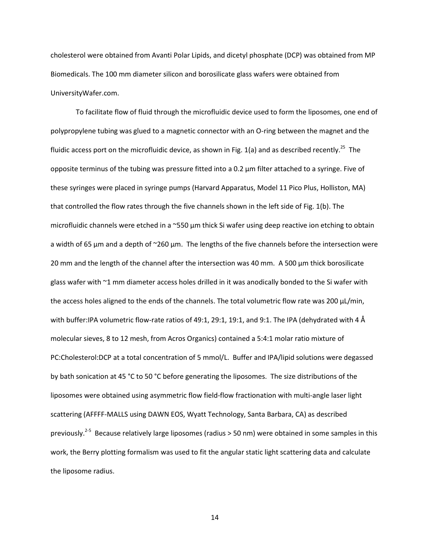cholesterol were obtained from Avanti Polar Lipids, and dicetyl phosphate (DCP) was obtained from MP Biomedicals. The 100 mm diameter silicon and borosilicate glass wafers were obtained from UniversityWafer.com.

To facilitate flow of fluid through the microfluidic device used to form the liposomes, one end of polypropylene tubing was glued to a magnetic connector with an O-ring between the magnet and the fluidic access port on the microfluidic device, as shown in Fig. 1(a) and as described recently.<sup>25</sup> The opposite terminus of the tubing was pressure fitted into a 0.2 µm filter attached to a syringe. Five of these syringes were placed in syringe pumps (Harvard Apparatus, Model 11 Pico Plus, Holliston, MA) that controlled the flow rates through the five channels shown in the left side of Fig. 1(b). The microfluidic channels were etched in a ~550 µm thick Si wafer using deep reactive ion etching to obtain a width of 65 µm and a depth of ~260 µm. The lengths of the five channels before the intersection were 20 mm and the length of the channel after the intersection was 40 mm. A 500 µm thick borosilicate glass wafer with  $\sim$ 1 mm diameter access holes drilled in it was anodically bonded to the Si wafer with the access holes aligned to the ends of the channels. The total volumetric flow rate was 200 µL/min, with buffer:IPA volumetric flow-rate ratios of 49:1, 29:1, 19:1, and 9:1. The IPA (dehydrated with 4 Å molecular sieves, 8 to 12 mesh, from Acros Organics) contained a 5:4:1 molar ratio mixture of PC:Cholesterol:DCP at a total concentration of 5 mmol/L. Buffer and IPA/lipid solutions were degassed by bath sonication at 45 °C to 50 °C before generating the liposomes. The size distributions of the liposomes were obtained using asymmetric flow field-flow fractionation with multi-angle laser light scattering (AFFFF-MALLS using DAWN EOS, Wyatt Technology, Santa Barbara, CA) as described previously.<sup>2-5</sup> Because relatively large liposomes (radius > 50 nm) were obtained in some samples in this work, the Berry plotting formalism was used to fit the angular static light scattering data and calculate the liposome radius.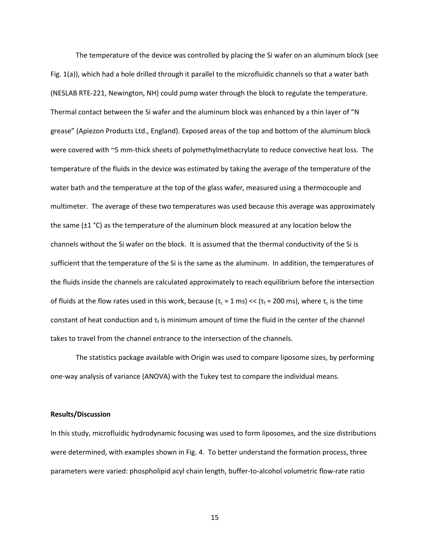The temperature of the device was controlled by placing the Si wafer on an aluminum block (see Fig. 1(a)), which had a hole drilled through it parallel to the microfluidic channels so that a water bath (NESLAB RTE-221, Newington, NH) could pump water through the block to regulate the temperature. Thermal contact between the Si wafer and the aluminum block was enhanced by a thin layer of "N grease" (Apiezon Products Ltd., England). Exposed areas of the top and bottom of the aluminum block were covered with ~5 mm-thick sheets of polymethylmethacrylate to reduce convective heat loss. The temperature of the fluids in the device was estimated by taking the average of the temperature of the water bath and the temperature at the top of the glass wafer, measured using a thermocouple and multimeter. The average of these two temperatures was used because this average was approximately the same (±1 °C) as the temperature of the aluminum block measured at any location below the channels without the Si wafer on the block. It is assumed that the thermal conductivity of the Si is sufficient that the temperature of the Si is the same as the aluminum. In addition, the temperatures of the fluids inside the channels are calculated approximately to reach equilibrium before the intersection of fluids at the flow rates used in this work, because (τ<sub>c</sub> ≈ 1 ms) << (τ<sub>f</sub> ≈ 200 ms), where τ<sub>c</sub> is the time constant of heat conduction and  $\tau_f$  is minimum amount of time the fluid in the center of the channel takes to travel from the channel entrance to the intersection of the channels.

The statistics package available with Origin was used to compare liposome sizes, by performing one-way analysis of variance (ANOVA) with the Tukey test to compare the individual means.

#### **Results/Discussion**

In this study, microfluidic hydrodynamic focusing was used to form liposomes, and the size distributions were determined, with examples shown in Fig. 4. To better understand the formation process, three parameters were varied: phospholipid acyl chain length, buffer-to-alcohol volumetric flow-rate ratio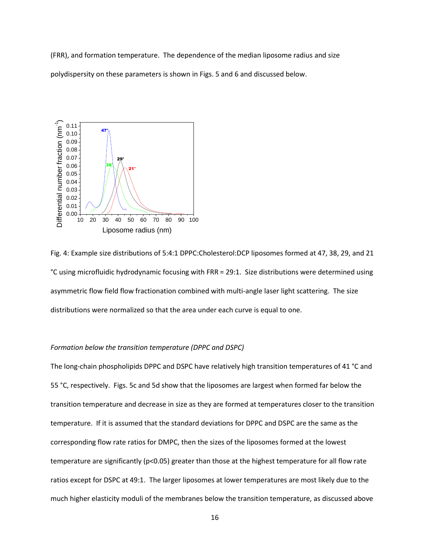(FRR), and formation temperature. The dependence of the median liposome radius and size polydispersity on these parameters is shown in Figs. 5 and 6 and discussed below.



Fig. 4: Example size distributions of 5:4:1 DPPC:Cholesterol:DCP liposomes formed at 47, 38, 29, and 21 °C using microfluidic hydrodynamic focusing with FRR = 29:1. Size distributions were determined using asymmetric flow field flow fractionation combined with multi-angle laser light scattering. The size distributions were normalized so that the area under each curve is equal to one.

## *Formation below the transition temperature (DPPC and DSPC)*

The long-chain phospholipids DPPC and DSPC have relatively high transition temperatures of 41 °C and 55 °C, respectively. Figs. 5c and 5d show that the liposomes are largest when formed far below the transition temperature and decrease in size as they are formed at temperatures closer to the transition temperature. If it is assumed that the standard deviations for DPPC and DSPC are the same as the corresponding flow rate ratios for DMPC, then the sizes of the liposomes formed at the lowest temperature are significantly (p<0.05) greater than those at the highest temperature for all flow rate ratios except for DSPC at 49:1. The larger liposomes at lower temperatures are most likely due to the much higher elasticity moduli of the membranes below the transition temperature, as discussed above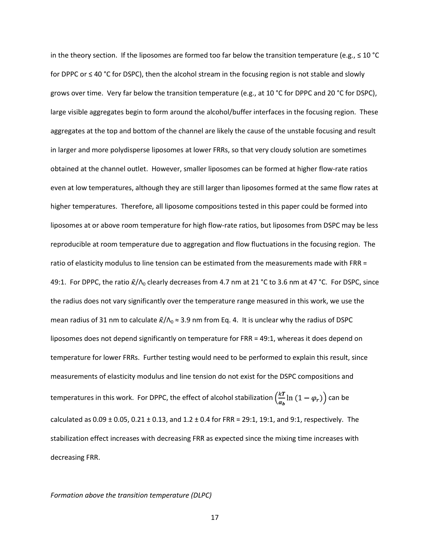in the theory section. If the liposomes are formed too far below the transition temperature (e.g.,  $\leq 10$  °C for DPPC or  $\leq 40$  °C for DSPC), then the alcohol stream in the focusing region is not stable and slowly grows over time. Very far below the transition temperature (e.g., at 10 °C for DPPC and 20 °C for DSPC), large visible aggregates begin to form around the alcohol/buffer interfaces in the focusing region. These aggregates at the top and bottom of the channel are likely the cause of the unstable focusing and result in larger and more polydisperse liposomes at lower FRRs, so that very cloudy solution are sometimes obtained at the channel outlet. However, smaller liposomes can be formed at higher flow-rate ratios even at low temperatures, although they are still larger than liposomes formed at the same flow rates at higher temperatures. Therefore, all liposome compositions tested in this paper could be formed into liposomes at or above room temperature for high flow-rate ratios, but liposomes from DSPC may be less reproducible at room temperature due to aggregation and flow fluctuations in the focusing region. The ratio of elasticity modulus to line tension can be estimated from the measurements made with FRR = 49:1. For DPPC, the ratio  $\tilde{\kappa}/\Lambda_0$  clearly decreases from 4.7 nm at 21 °C to 3.6 nm at 47 °C. For DSPC, since the radius does not vary significantly over the temperature range measured in this work, we use the mean radius of 31 nm to calculate  $\frac{\hat{r}}{\Lambda_0} \approx 3.9$  nm from Eq. 4. It is unclear why the radius of DSPC liposomes does not depend significantly on temperature for FRR = 49:1, whereas it does depend on temperature for lower FRRs. Further testing would need to be performed to explain this result, since measurements of elasticity modulus and line tension do not exist for the DSPC compositions and temperatures in this work. For DPPC, the effect of alcohol stabilization  $\left(\frac{kT}{a}\ln(1-\varphi_r)\right)$  can be calculated as  $0.09 \pm 0.05$ ,  $0.21 \pm 0.13$ , and  $1.2 \pm 0.4$  for FRR = 29:1, 19:1, and 9:1, respectively. The stabilization effect increases with decreasing FRR as expected since the mixing time increases with decreasing FRR.

#### *Formation above the transition temperature (DLPC)*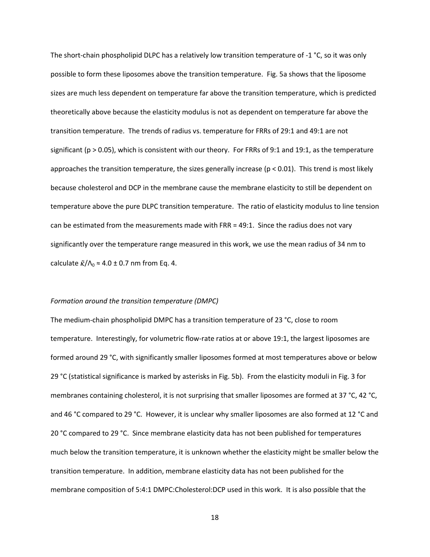The short-chain phospholipid DLPC has a relatively low transition temperature of -1 °C, so it was only possible to form these liposomes above the transition temperature. Fig. 5a shows that the liposome sizes are much less dependent on temperature far above the transition temperature, which is predicted theoretically above because the elasticity modulus is not as dependent on temperature far above the transition temperature. The trends of radius vs. temperature for FRRs of 29:1 and 49:1 are not significant ( $p > 0.05$ ), which is consistent with our theory. For FRRs of 9:1 and 19:1, as the temperature approaches the transition temperature, the sizes generally increase ( $p < 0.01$ ). This trend is most likely because cholesterol and DCP in the membrane cause the membrane elasticity to still be dependent on temperature above the pure DLPC transition temperature. The ratio of elasticity modulus to line tension can be estimated from the measurements made with FRR = 49:1. Since the radius does not vary significantly over the temperature range measured in this work, we use the mean radius of 34 nm to calculate  $\tilde{\kappa}/\Lambda_0 \approx 4.0 \pm 0.7$  nm from Eq. 4.

#### *Formation around the transition temperature (DMPC)*

The medium-chain phospholipid DMPC has a transition temperature of 23 °C, close to room temperature. Interestingly, for volumetric flow-rate ratios at or above 19:1, the largest liposomes are formed around 29 °C, with significantly smaller liposomes formed at most temperatures above or below 29 °C (statistical significance is marked by asterisks in Fig. 5b). From the elasticity moduli in Fig. 3 for membranes containing cholesterol, it is not surprising that smaller liposomes are formed at 37 °C, 42 °C, and 46 °C compared to 29 °C. However, it is unclear why smaller liposomes are also formed at 12 °C and 20 °C compared to 29 °C. Since membrane elasticity data has not been published for temperatures much below the transition temperature, it is unknown whether the elasticity might be smaller below the transition temperature. In addition, membrane elasticity data has not been published for the membrane composition of 5:4:1 DMPC:Cholesterol:DCP used in this work. It is also possible that the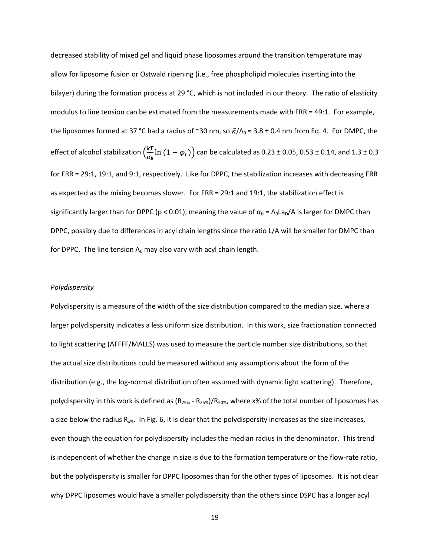decreased stability of mixed gel and liquid phase liposomes around the transition temperature may allow for liposome fusion or Ostwald ripening (i.e., free phospholipid molecules inserting into the bilayer) during the formation process at 29 °C, which is not included in our theory. The ratio of elasticity modulus to line tension can be estimated from the measurements made with FRR = 49:1. For example, the liposomes formed at 37 °C had a radius of ~30 nm, so  $\tilde{\kappa}/\Lambda_0 \approx 3.8 \pm 0.4$  nm from Eq. 4. For DMPC, the effect of alcohol stabilization  $\left(\frac{kT}{\alpha_h}\ln(1-\varphi_r)\right)$  can be calculated as 0.23 ± 0.05, 0.53 ± 0.14, and 1.3 ± 0.3 for FRR = 29:1, 19:1, and 9:1, respectively. Like for DPPC, the stabilization increases with decreasing FRR as expected as the mixing becomes slower. For FRR = 29:1 and 19:1, the stabilization effect is significantly larger than for DPPC (p < 0.01), meaning the value of  $\alpha_b = \Lambda_0 L a_D/A$  is larger for DMPC than DPPC, possibly due to differences in acyl chain lengths since the ratio L/A will be smaller for DMPC than for DPPC. The line tension  $\Lambda_0$  may also vary with acyl chain length.

#### *Polydispersity*

Polydispersity is a measure of the width of the size distribution compared to the median size, where a larger polydispersity indicates a less uniform size distribution. In this work, size fractionation connected to light scattering (AFFFF/MALLS) was used to measure the particle number size distributions, so that the actual size distributions could be measured without any assumptions about the form of the distribution (e.g., the log-normal distribution often assumed with dynamic light scattering). Therefore, polydispersity in this work is defined as  $(R_{75\%} - R_{25\%})/R_{50\%}$ , where x% of the total number of liposomes has a size below the radius  $R_{x_{0}}$ . In Fig. 6, it is clear that the polydispersity increases as the size increases, even though the equation for polydispersity includes the median radius in the denominator. This trend is independent of whether the change in size is due to the formation temperature or the flow-rate ratio, but the polydispersity is smaller for DPPC liposomes than for the other types of liposomes. It is not clear why DPPC liposomes would have a smaller polydispersity than the others since DSPC has a longer acyl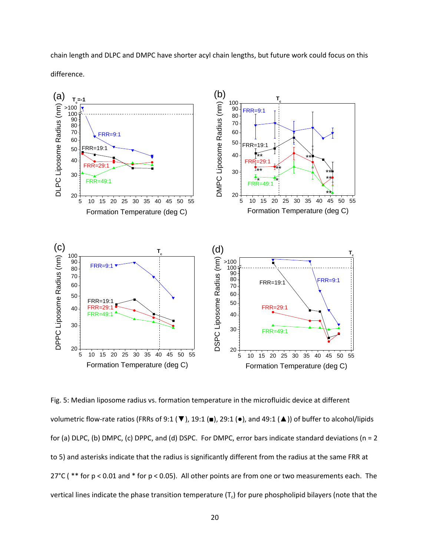chain length and DLPC and DMPC have shorter acyl chain lengths, but future work could focus on this difference.



Fig. 5: Median liposome radius vs. formation temperature in the microfluidic device at different volumetric flow-rate ratios (FRRs of 9:1 ( $\blacktriangledown$ ), 19:1 ( $\blacktriangleright$ ), 29:1 ( $\blacktriangleright$ ), and 49:1 ( $\blacktriangle$ )) of buffer to alcohol/lipids for (a) DLPC, (b) DMPC, (c) DPPC, and (d) DSPC. For DMPC, error bars indicate standard deviations (n = 2 to 5) and asterisks indicate that the radius is significantly different from the radius at the same FRR at 27°C ( \*\* for p < 0.01 and \* for p < 0.05). All other points are from one or two measurements each. The vertical lines indicate the phase transition temperature  $(T_c)$  for pure phospholipid bilayers (note that the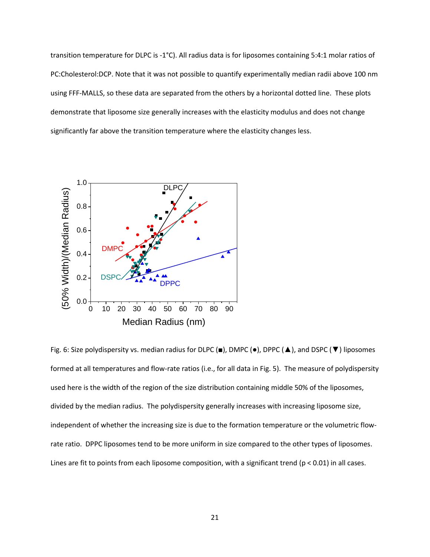transition temperature for DLPC is -1°C). All radius data is for liposomes containing 5:4:1 molar ratios of PC:Cholesterol:DCP. Note that it was not possible to quantify experimentally median radii above 100 nm using FFF-MALLS, so these data are separated from the others by a horizontal dotted line. These plots demonstrate that liposome size generally increases with the elasticity modulus and does not change significantly far above the transition temperature where the elasticity changes less.



Fig. 6: Size polydispersity vs. median radius for DLPC (■), DMPC (●), DPPC (▲), and DSPC (▼) liposomes formed at all temperatures and flow-rate ratios (i.e., for all data in Fig. 5). The measure of polydispersity used here is the width of the region of the size distribution containing middle 50% of the liposomes, divided by the median radius. The polydispersity generally increases with increasing liposome size, independent of whether the increasing size is due to the formation temperature or the volumetric flowrate ratio. DPPC liposomes tend to be more uniform in size compared to the other types of liposomes. Lines are fit to points from each liposome composition, with a significant trend ( $p < 0.01$ ) in all cases.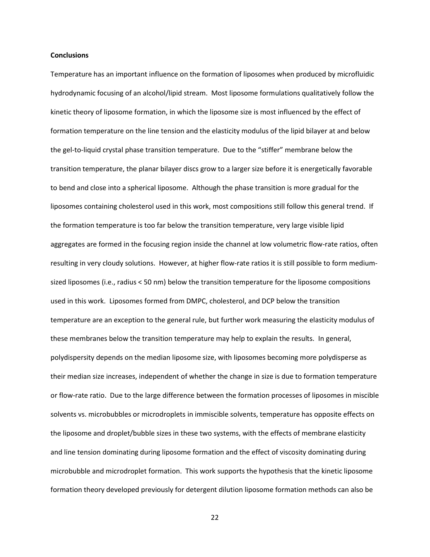#### **Conclusions**

Temperature has an important influence on the formation of liposomes when produced by microfluidic hydrodynamic focusing of an alcohol/lipid stream. Most liposome formulations qualitatively follow the kinetic theory of liposome formation, in which the liposome size is most influenced by the effect of formation temperature on the line tension and the elasticity modulus of the lipid bilayer at and below the gel-to-liquid crystal phase transition temperature. Due to the "stiffer" membrane below the transition temperature, the planar bilayer discs grow to a larger size before it is energetically favorable to bend and close into a spherical liposome. Although the phase transition is more gradual for the liposomes containing cholesterol used in this work, most compositions still follow this general trend. If the formation temperature is too far below the transition temperature, very large visible lipid aggregates are formed in the focusing region inside the channel at low volumetric flow-rate ratios, often resulting in very cloudy solutions. However, at higher flow-rate ratios it is still possible to form mediumsized liposomes (i.e., radius < 50 nm) below the transition temperature for the liposome compositions used in this work. Liposomes formed from DMPC, cholesterol, and DCP below the transition temperature are an exception to the general rule, but further work measuring the elasticity modulus of these membranes below the transition temperature may help to explain the results. In general, polydispersity depends on the median liposome size, with liposomes becoming more polydisperse as their median size increases, independent of whether the change in size is due to formation temperature or flow-rate ratio. Due to the large difference between the formation processes of liposomes in miscible solvents vs. microbubbles or microdroplets in immiscible solvents, temperature has opposite effects on the liposome and droplet/bubble sizes in these two systems, with the effects of membrane elasticity and line tension dominating during liposome formation and the effect of viscosity dominating during microbubble and microdroplet formation. This work supports the hypothesis that the kinetic liposome formation theory developed previously for detergent dilution liposome formation methods can also be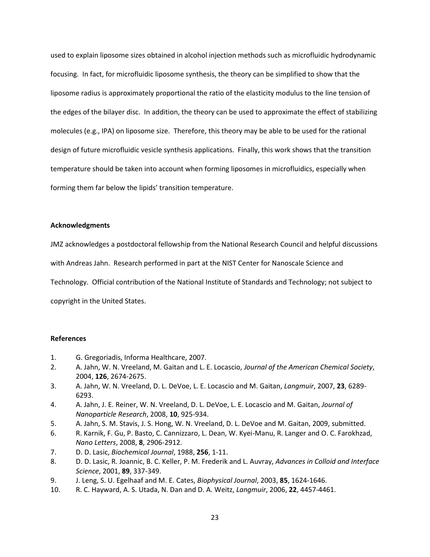used to explain liposome sizes obtained in alcohol injection methods such as microfluidic hydrodynamic focusing. In fact, for microfluidic liposome synthesis, the theory can be simplified to show that the liposome radius is approximately proportional the ratio of the elasticity modulus to the line tension of the edges of the bilayer disc. In addition, the theory can be used to approximate the effect of stabilizing molecules (e.g., IPA) on liposome size. Therefore, this theory may be able to be used for the rational design of future microfluidic vesicle synthesis applications. Finally, this work shows that the transition temperature should be taken into account when forming liposomes in microfluidics, especially when forming them far below the lipids' transition temperature.

#### **Acknowledgments**

JMZ acknowledges a postdoctoral fellowship from the National Research Council and helpful discussions with Andreas Jahn. Research performed in part at the NIST Center for Nanoscale Science and Technology. Official contribution of the National Institute of Standards and Technology; not subject to copyright in the United States.

#### **References**

- 1. G. Gregoriadis, Informa Healthcare, 2007.
- 2. A. Jahn, W. N. Vreeland, M. Gaitan and L. E. Locascio, *Journal of the American Chemical Society*, 2004, **126**, 2674-2675.
- 3. A. Jahn, W. N. Vreeland, D. L. DeVoe, L. E. Locascio and M. Gaitan, *Langmuir*, 2007, **23**, 6289- 6293.
- 4. A. Jahn, J. E. Reiner, W. N. Vreeland, D. L. DeVoe, L. E. Locascio and M. Gaitan, *Journal of Nanoparticle Research*, 2008, **10**, 925-934.
- 5. A. Jahn, S. M. Stavis, J. S. Hong, W. N. Vreeland, D. L. DeVoe and M. Gaitan, 2009, submitted.
- 6. R. Karnik, F. Gu, P. Basto, C. Cannizzaro, L. Dean, W. Kyei-Manu, R. Langer and O. C. Farokhzad, *Nano Letters*, 2008, **8**, 2906-2912.
- 7. D. D. Lasic, *Biochemical Journal*, 1988, **256**, 1-11.
- 8. D. D. Lasic, R. Joannic, B. C. Keller, P. M. Frederik and L. Auvray, *Advances in Colloid and Interface Science*, 2001, **89**, 337-349.
- 9. J. Leng, S. U. Egelhaaf and M. E. Cates, *Biophysical Journal*, 2003, **85**, 1624-1646.
- 10. R. C. Hayward, A. S. Utada, N. Dan and D. A. Weitz, *Langmuir*, 2006, **22**, 4457-4461.